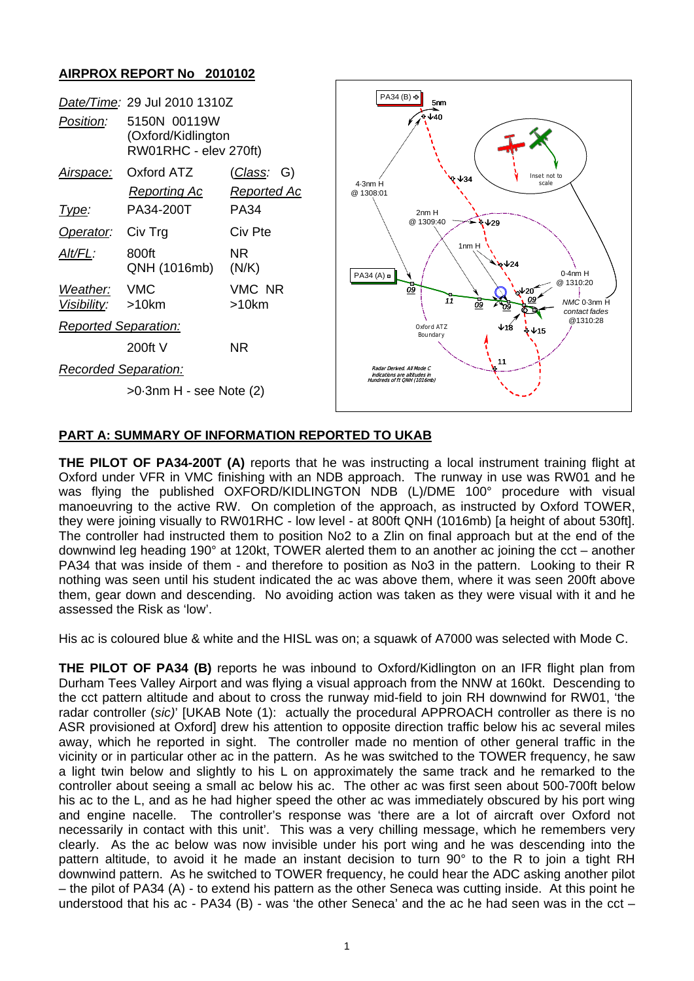## **AIRPROX REPORT No 2010102**

| Position:                                                   | Date/Time: 29 Jul 2010 1310Z<br>5150N 00119W<br>(Oxford/Kidlington<br>RW01RHC - elev 270ft) |                                      | PA34 (B) +<br>5nm<br>.≎↓40                                                                     |
|-------------------------------------------------------------|---------------------------------------------------------------------------------------------|--------------------------------------|------------------------------------------------------------------------------------------------|
| <u>Airspace:</u>                                            | Oxford ATZ<br><b>Reporting Ac</b>                                                           | <u>(Class</u> :<br>G)<br>Reported Ac | Inset not to<br>$\vee$ $\vee$ 34<br>$4.3nm$ H<br>scale<br>@ 1308:01                            |
| <u>Type:</u>                                                | PA34-200T                                                                                   | <b>PA34</b>                          | 2nm H                                                                                          |
| Operator:                                                   | Civ Trg                                                                                     | Civ Pte                              | @ 1309:40<br>$\sqrt[3]{29}$                                                                    |
| Alt/FL:                                                     | 800ft<br>QNH (1016mb)                                                                       | NR.<br>(N/K)                         | 1nm H<br>$\sqrt{24}$<br>$0.4$ nm $H$<br>PA34(A)                                                |
| Weather:<br>Visibility:                                     | <b>VMC</b><br>>10km                                                                         | VMC NR<br>>10km                      | @ 1310:20<br>09<br>$\sqrt{20}$<br>11<br>NMC 0-3nm H<br>09<br>'n9<br>contact fades              |
| <b>Reported Separation:</b>                                 |                                                                                             |                                      | @1310:28<br>Oxford ATZ<br>↓18<br>∜ ↓15<br>Boundary                                             |
|                                                             | 200ftV                                                                                      | NR.                                  |                                                                                                |
| <b>Recorded Separation:</b><br>$>0.3$ nm H - see Note $(2)$ |                                                                                             |                                      | 11<br>Radar Derived, All Mode C<br>indications are altitudes in<br>Hundreds of ft QNH (1016mb) |
|                                                             |                                                                                             |                                      |                                                                                                |

## **PART A: SUMMARY OF INFORMATION REPORTED TO UKAB**

**THE PILOT OF PA34-200T (A)** reports that he was instructing a local instrument training flight at Oxford under VFR in VMC finishing with an NDB approach. The runway in use was RW01 and he was flying the published OXFORD/KIDLINGTON NDB (L)/DME 100° procedure with visual manoeuvring to the active RW. On completion of the approach, as instructed by Oxford TOWER, they were joining visually to RW01RHC - low level - at 800ft QNH (1016mb) [a height of about 530ft]. The controller had instructed them to position No2 to a Zlin on final approach but at the end of the downwind leg heading 190° at 120kt, TOWER alerted them to an another ac joining the cct – another PA34 that was inside of them - and therefore to position as No3 in the pattern. Looking to their R nothing was seen until his student indicated the ac was above them, where it was seen 200ft above them, gear down and descending. No avoiding action was taken as they were visual with it and he assessed the Risk as 'low'.

His ac is coloured blue & white and the HISL was on; a squawk of A7000 was selected with Mode C.

**THE PILOT OF PA34 (B)** reports he was inbound to Oxford/Kidlington on an IFR flight plan from Durham Tees Valley Airport and was flying a visual approach from the NNW at 160kt. Descending to the cct pattern altitude and about to cross the runway mid-field to join RH downwind for RW01, 'the radar controller (*sic)*' [UKAB Note (1): actually the procedural APPROACH controller as there is no ASR provisioned at Oxford] drew his attention to opposite direction traffic below his ac several miles away, which he reported in sight. The controller made no mention of other general traffic in the vicinity or in particular other ac in the pattern. As he was switched to the TOWER frequency, he saw a light twin below and slightly to his L on approximately the same track and he remarked to the controller about seeing a small ac below his ac. The other ac was first seen about 500-700ft below his ac to the L, and as he had higher speed the other ac was immediately obscured by his port wing and engine nacelle. The controller's response was 'there are a lot of aircraft over Oxford not necessarily in contact with this unit'. This was a very chilling message, which he remembers very clearly. As the ac below was now invisible under his port wing and he was descending into the pattern altitude, to avoid it he made an instant decision to turn 90° to the R to join a tight RH downwind pattern. As he switched to TOWER frequency, he could hear the ADC asking another pilot – the pilot of PA34 (A) - to extend his pattern as the other Seneca was cutting inside. At this point he understood that his ac - PA34 (B) - was 'the other Seneca' and the ac he had seen was in the cct –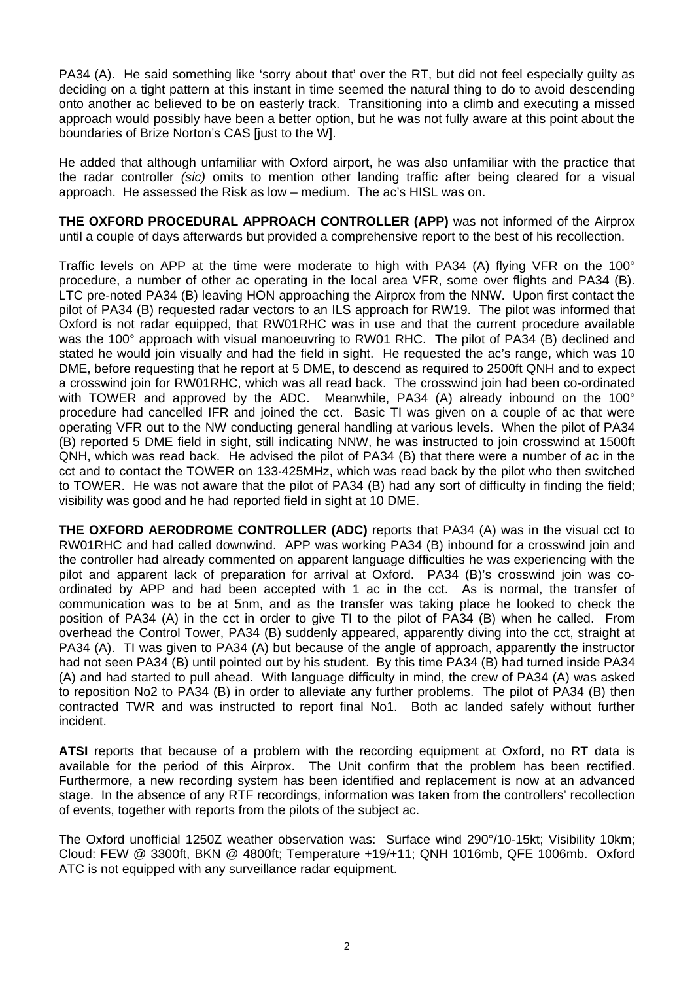PA34 (A). He said something like 'sorry about that' over the RT, but did not feel especially guilty as deciding on a tight pattern at this instant in time seemed the natural thing to do to avoid descending onto another ac believed to be on easterly track. Transitioning into a climb and executing a missed approach would possibly have been a better option, but he was not fully aware at this point about the boundaries of Brize Norton's CAS [just to the W].

He added that although unfamiliar with Oxford airport, he was also unfamiliar with the practice that the radar controller *(sic)* omits to mention other landing traffic after being cleared for a visual approach. He assessed the Risk as low – medium. The ac's HISL was on.

**THE OXFORD PROCEDURAL APPROACH CONTROLLER (APP)** was not informed of the Airprox until a couple of days afterwards but provided a comprehensive report to the best of his recollection.

Traffic levels on APP at the time were moderate to high with PA34 (A) flying VFR on the 100° procedure, a number of other ac operating in the local area VFR, some over flights and PA34 (B). LTC pre-noted PA34 (B) leaving HON approaching the Airprox from the NNW. Upon first contact the pilot of PA34 (B) requested radar vectors to an ILS approach for RW19. The pilot was informed that Oxford is not radar equipped, that RW01RHC was in use and that the current procedure available was the 100° approach with visual manoeuvring to RW01 RHC. The pilot of PA34 (B) declined and stated he would join visually and had the field in sight. He requested the ac's range, which was 10 DME, before requesting that he report at 5 DME, to descend as required to 2500ft QNH and to expect a crosswind join for RW01RHC, which was all read back. The crosswind join had been co-ordinated with TOWER and approved by the ADC. Meanwhile, PA34 (A) already inbound on the 100° procedure had cancelled IFR and joined the cct. Basic TI was given on a couple of ac that were operating VFR out to the NW conducting general handling at various levels. When the pilot of PA34 (B) reported 5 DME field in sight, still indicating NNW, he was instructed to join crosswind at 1500ft QNH, which was read back. He advised the pilot of PA34 (B) that there were a number of ac in the cct and to contact the TOWER on 133·425MHz, which was read back by the pilot who then switched to TOWER. He was not aware that the pilot of PA34 (B) had any sort of difficulty in finding the field; visibility was good and he had reported field in sight at 10 DME.

**THE OXFORD AERODROME CONTROLLER (ADC)** reports that PA34 (A) was in the visual cct to RW01RHC and had called downwind. APP was working PA34 (B) inbound for a crosswind join and the controller had already commented on apparent language difficulties he was experiencing with the pilot and apparent lack of preparation for arrival at Oxford. PA34 (B)'s crosswind join was coordinated by APP and had been accepted with 1 ac in the cct. As is normal, the transfer of communication was to be at 5nm, and as the transfer was taking place he looked to check the position of PA34 (A) in the cct in order to give TI to the pilot of PA34 (B) when he called. From overhead the Control Tower, PA34 (B) suddenly appeared, apparently diving into the cct, straight at PA34 (A). TI was given to PA34 (A) but because of the angle of approach, apparently the instructor had not seen PA34 (B) until pointed out by his student. By this time PA34 (B) had turned inside PA34 (A) and had started to pull ahead. With language difficulty in mind, the crew of PA34 (A) was asked to reposition No2 to PA34 (B) in order to alleviate any further problems. The pilot of PA34 (B) then contracted TWR and was instructed to report final No1. Both ac landed safely without further incident.

**ATSI** reports that because of a problem with the recording equipment at Oxford, no RT data is available for the period of this Airprox. The Unit confirm that the problem has been rectified. Furthermore, a new recording system has been identified and replacement is now at an advanced stage. In the absence of any RTF recordings, information was taken from the controllers' recollection of events, together with reports from the pilots of the subject ac.

The Oxford unofficial 1250Z weather observation was: Surface wind 290°/10-15kt; Visibility 10km; Cloud: FEW @ 3300ft, BKN @ 4800ft; Temperature +19/+11; QNH 1016mb, QFE 1006mb. Oxford ATC is not equipped with any surveillance radar equipment.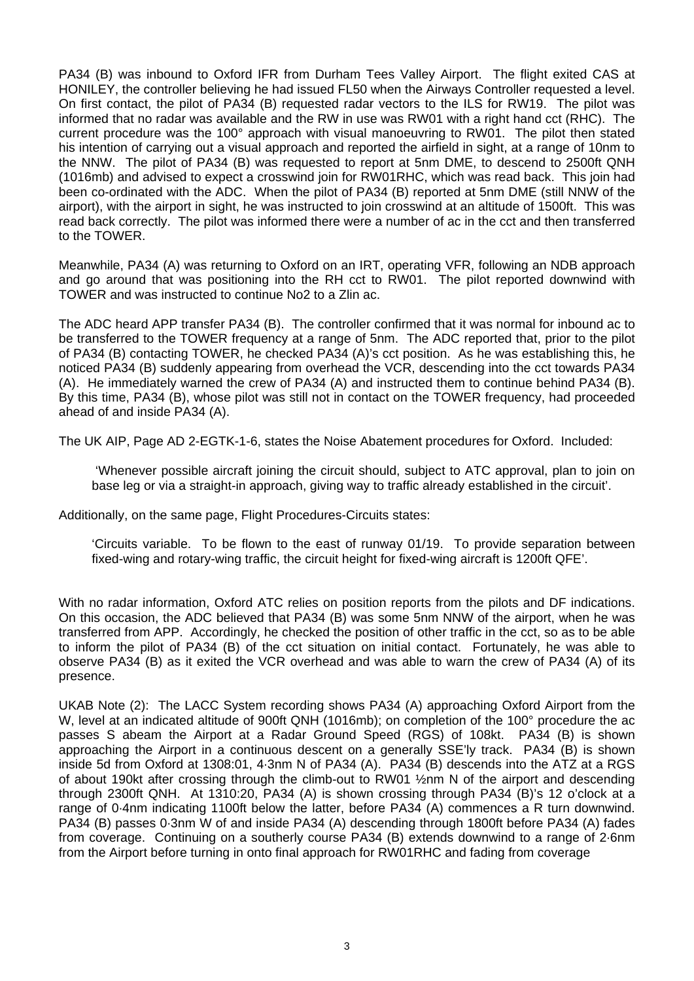PA34 (B) was inbound to Oxford IFR from Durham Tees Valley Airport. The flight exited CAS at HONILEY, the controller believing he had issued FL50 when the Airways Controller requested a level. On first contact, the pilot of PA34 (B) requested radar vectors to the ILS for RW19. The pilot was informed that no radar was available and the RW in use was RW01 with a right hand cct (RHC). The current procedure was the 100° approach with visual manoeuvring to RW01. The pilot then stated his intention of carrying out a visual approach and reported the airfield in sight, at a range of 10nm to the NNW. The pilot of PA34 (B) was requested to report at 5nm DME, to descend to 2500ft QNH (1016mb) and advised to expect a crosswind join for RW01RHC, which was read back. This join had been co-ordinated with the ADC. When the pilot of PA34 (B) reported at 5nm DME (still NNW of the airport), with the airport in sight, he was instructed to join crosswind at an altitude of 1500ft. This was read back correctly. The pilot was informed there were a number of ac in the cct and then transferred to the TOWER.

Meanwhile, PA34 (A) was returning to Oxford on an IRT, operating VFR, following an NDB approach and go around that was positioning into the RH cct to RW01. The pilot reported downwind with TOWER and was instructed to continue No2 to a Zlin ac.

The ADC heard APP transfer PA34 (B). The controller confirmed that it was normal for inbound ac to be transferred to the TOWER frequency at a range of 5nm. The ADC reported that, prior to the pilot of PA34 (B) contacting TOWER, he checked PA34 (A)'s cct position. As he was establishing this, he noticed PA34 (B) suddenly appearing from overhead the VCR, descending into the cct towards PA34 (A). He immediately warned the crew of PA34 (A) and instructed them to continue behind PA34 (B). By this time, PA34 (B), whose pilot was still not in contact on the TOWER frequency, had proceeded ahead of and inside PA34 (A).

The UK AIP, Page AD 2-EGTK-1-6, states the Noise Abatement procedures for Oxford. Included:

 'Whenever possible aircraft joining the circuit should, subject to ATC approval, plan to join on base leg or via a straight-in approach, giving way to traffic already established in the circuit'.

Additionally, on the same page, Flight Procedures-Circuits states:

'Circuits variable. To be flown to the east of runway 01/19. To provide separation between fixed-wing and rotary-wing traffic, the circuit height for fixed-wing aircraft is 1200ft QFE'.

With no radar information, Oxford ATC relies on position reports from the pilots and DF indications. On this occasion, the ADC believed that PA34 (B) was some 5nm NNW of the airport, when he was transferred from APP. Accordingly, he checked the position of other traffic in the cct, so as to be able to inform the pilot of PA34 (B) of the cct situation on initial contact. Fortunately, he was able to observe PA34 (B) as it exited the VCR overhead and was able to warn the crew of PA34 (A) of its presence.

UKAB Note (2): The LACC System recording shows PA34 (A) approaching Oxford Airport from the W, level at an indicated altitude of 900ft QNH (1016mb); on completion of the 100° procedure the ac passes S abeam the Airport at a Radar Ground Speed (RGS) of 108kt. PA34 (B) is shown approaching the Airport in a continuous descent on a generally SSE'ly track. PA34 (B) is shown inside 5d from Oxford at 1308:01, 4·3nm N of PA34 (A). PA34 (B) descends into the ATZ at a RGS of about 190kt after crossing through the climb-out to RW01 ½nm N of the airport and descending through 2300ft QNH. At 1310:20, PA34 (A) is shown crossing through PA34 (B)'s 12 o'clock at a range of 0·4nm indicating 1100ft below the latter, before PA34 (A) commences a R turn downwind. PA34 (B) passes 0·3nm W of and inside PA34 (A) descending through 1800ft before PA34 (A) fades from coverage. Continuing on a southerly course PA34 (B) extends downwind to a range of 2·6nm from the Airport before turning in onto final approach for RW01RHC and fading from coverage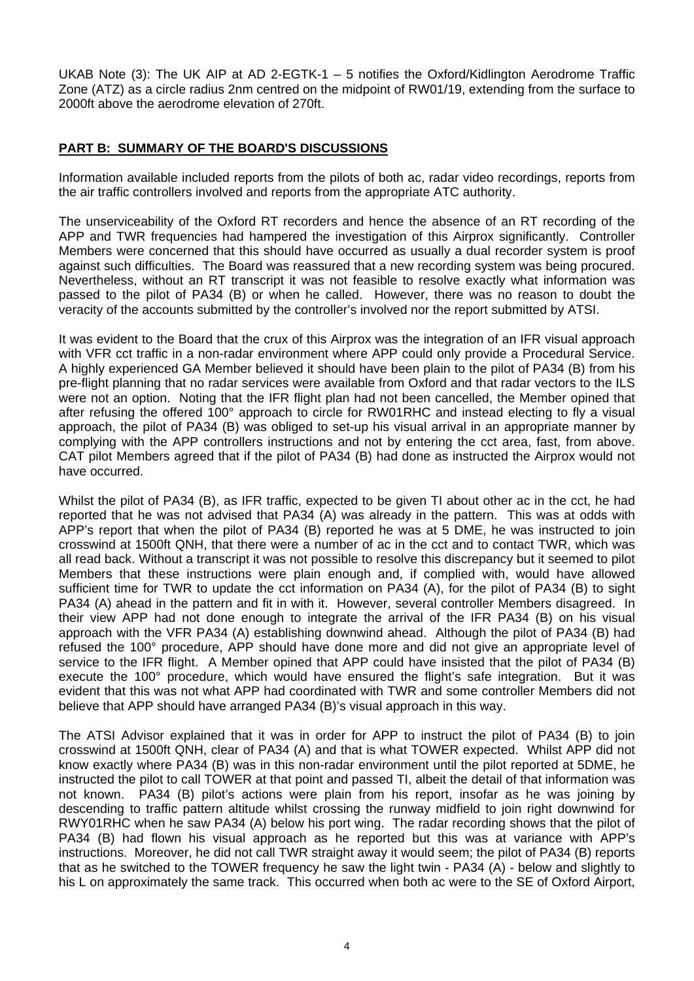UKAB Note (3): The UK AIP at AD 2-EGTK-1 – 5 notifies the Oxford/Kidlington Aerodrome Traffic Zone (ATZ) as a circle radius 2nm centred on the midpoint of RW01/19, extending from the surface to 2000ft above the aerodrome elevation of 270ft.

## **PART B: SUMMARY OF THE BOARD'S DISCUSSIONS**

Information available included reports from the pilots of both ac, radar video recordings, reports from the air traffic controllers involved and reports from the appropriate ATC authority.

The unserviceability of the Oxford RT recorders and hence the absence of an RT recording of the APP and TWR frequencies had hampered the investigation of this Airprox significantly. Controller Members were concerned that this should have occurred as usually a dual recorder system is proof against such difficulties. The Board was reassured that a new recording system was being procured. Nevertheless, without an RT transcript it was not feasible to resolve exactly what information was passed to the pilot of PA34 (B) or when he called. However, there was no reason to doubt the veracity of the accounts submitted by the controller's involved nor the report submitted by ATSI.

It was evident to the Board that the crux of this Airprox was the integration of an IFR visual approach with VFR cct traffic in a non-radar environment where APP could only provide a Procedural Service. A highly experienced GA Member believed it should have been plain to the pilot of PA34 (B) from his pre-flight planning that no radar services were available from Oxford and that radar vectors to the ILS were not an option. Noting that the IFR flight plan had not been cancelled, the Member opined that after refusing the offered 100° approach to circle for RW01RHC and instead electing to fly a visual approach, the pilot of PA34 (B) was obliged to set-up his visual arrival in an appropriate manner by complying with the APP controllers instructions and not by entering the cct area, fast, from above. CAT pilot Members agreed that if the pilot of PA34 (B) had done as instructed the Airprox would not have occurred.

Whilst the pilot of PA34 (B), as IFR traffic, expected to be given TI about other ac in the cct, he had reported that he was not advised that PA34 (A) was already in the pattern. This was at odds with APP's report that when the pilot of PA34 (B) reported he was at 5 DME, he was instructed to join crosswind at 1500ft QNH, that there were a number of ac in the cct and to contact TWR, which was all read back. Without a transcript it was not possible to resolve this discrepancy but it seemed to pilot Members that these instructions were plain enough and, if complied with, would have allowed sufficient time for TWR to update the cct information on PA34 (A), for the pilot of PA34 (B) to sight PA34 (A) ahead in the pattern and fit in with it. However, several controller Members disagreed. In their view APP had not done enough to integrate the arrival of the IFR PA34 (B) on his visual approach with the VFR PA34 (A) establishing downwind ahead. Although the pilot of PA34 (B) had refused the 100° procedure, APP should have done more and did not give an appropriate level of service to the IFR flight. A Member opined that APP could have insisted that the pilot of PA34 (B) execute the 100° procedure, which would have ensured the flight's safe integration. But it was evident that this was not what APP had coordinated with TWR and some controller Members did not believe that APP should have arranged PA34 (B)'s visual approach in this way.

The ATSI Advisor explained that it was in order for APP to instruct the pilot of PA34 (B) to join crosswind at 1500ft QNH, clear of PA34 (A) and that is what TOWER expected. Whilst APP did not know exactly where PA34 (B) was in this non-radar environment until the pilot reported at 5DME, he instructed the pilot to call TOWER at that point and passed TI, albeit the detail of that information was not known. PA34 (B) pilot's actions were plain from his report, insofar as he was joining by descending to traffic pattern altitude whilst crossing the runway midfield to join right downwind for RWY01RHC when he saw PA34 (A) below his port wing. The radar recording shows that the pilot of PA34 (B) had flown his visual approach as he reported but this was at variance with APP's instructions. Moreover, he did not call TWR straight away it would seem; the pilot of PA34 (B) reports that as he switched to the TOWER frequency he saw the light twin - PA34 (A) - below and slightly to his L on approximately the same track. This occurred when both ac were to the SE of Oxford Airport,